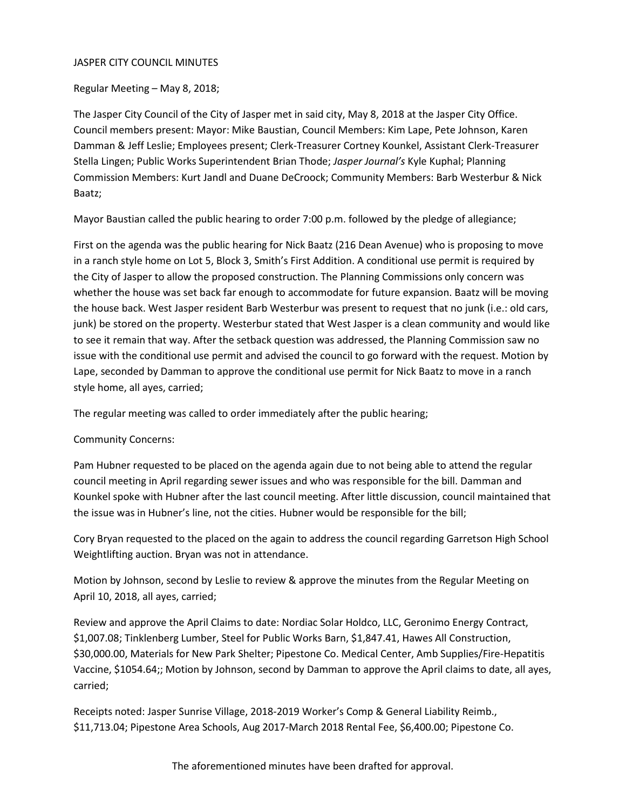### JASPER CITY COUNCIL MINUTES

## Regular Meeting – May 8, 2018;

The Jasper City Council of the City of Jasper met in said city, May 8, 2018 at the Jasper City Office. Council members present: Mayor: Mike Baustian, Council Members: Kim Lape, Pete Johnson, Karen Damman & Jeff Leslie; Employees present; Clerk-Treasurer Cortney Kounkel, Assistant Clerk-Treasurer Stella Lingen; Public Works Superintendent Brian Thode; *Jasper Journal's* Kyle Kuphal; Planning Commission Members: Kurt Jandl and Duane DeCroock; Community Members: Barb Westerbur & Nick Baatz;

Mayor Baustian called the public hearing to order 7:00 p.m. followed by the pledge of allegiance;

First on the agenda was the public hearing for Nick Baatz (216 Dean Avenue) who is proposing to move in a ranch style home on Lot 5, Block 3, Smith's First Addition. A conditional use permit is required by the City of Jasper to allow the proposed construction. The Planning Commissions only concern was whether the house was set back far enough to accommodate for future expansion. Baatz will be moving the house back. West Jasper resident Barb Westerbur was present to request that no junk (i.e.: old cars, junk) be stored on the property. Westerbur stated that West Jasper is a clean community and would like to see it remain that way. After the setback question was addressed, the Planning Commission saw no issue with the conditional use permit and advised the council to go forward with the request. Motion by Lape, seconded by Damman to approve the conditional use permit for Nick Baatz to move in a ranch style home, all ayes, carried;

The regular meeting was called to order immediately after the public hearing;

# Community Concerns:

Pam Hubner requested to be placed on the agenda again due to not being able to attend the regular council meeting in April regarding sewer issues and who was responsible for the bill. Damman and Kounkel spoke with Hubner after the last council meeting. After little discussion, council maintained that the issue was in Hubner's line, not the cities. Hubner would be responsible for the bill;

Cory Bryan requested to the placed on the again to address the council regarding Garretson High School Weightlifting auction. Bryan was not in attendance.

Motion by Johnson, second by Leslie to review & approve the minutes from the Regular Meeting on April 10, 2018, all ayes, carried;

Review and approve the April Claims to date: Nordiac Solar Holdco, LLC, Geronimo Energy Contract, \$1,007.08; Tinklenberg Lumber, Steel for Public Works Barn, \$1,847.41, Hawes All Construction, \$30,000.00, Materials for New Park Shelter; Pipestone Co. Medical Center, Amb Supplies/Fire-Hepatitis Vaccine, \$1054.64;; Motion by Johnson, second by Damman to approve the April claims to date, all ayes, carried;

Receipts noted: Jasper Sunrise Village, 2018-2019 Worker's Comp & General Liability Reimb., \$11,713.04; Pipestone Area Schools, Aug 2017-March 2018 Rental Fee, \$6,400.00; Pipestone Co.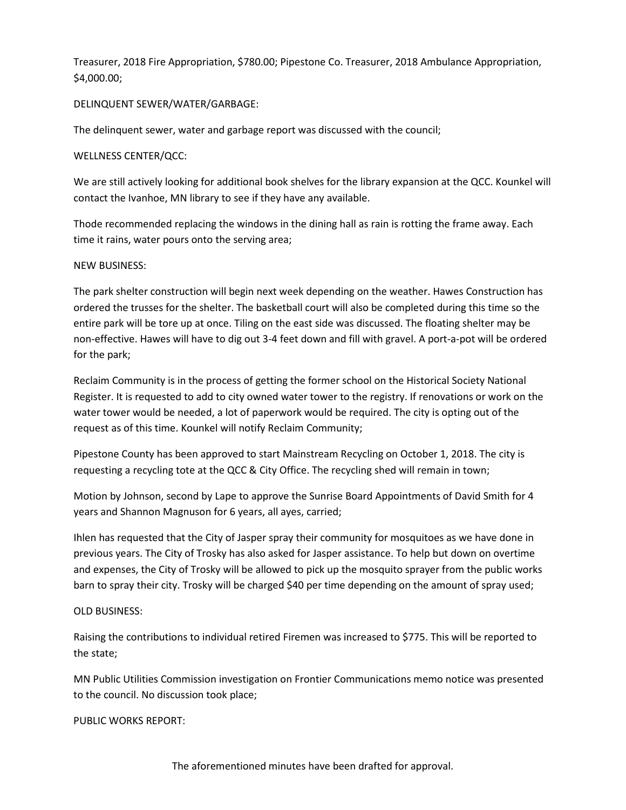Treasurer, 2018 Fire Appropriation, \$780.00; Pipestone Co. Treasurer, 2018 Ambulance Appropriation, \$4,000.00;

## DELINQUENT SEWER/WATER/GARBAGE:

The delinquent sewer, water and garbage report was discussed with the council;

## WELLNESS CENTER/QCC:

We are still actively looking for additional book shelves for the library expansion at the QCC. Kounkel will contact the Ivanhoe, MN library to see if they have any available.

Thode recommended replacing the windows in the dining hall as rain is rotting the frame away. Each time it rains, water pours onto the serving area;

### NEW BUSINESS:

The park shelter construction will begin next week depending on the weather. Hawes Construction has ordered the trusses for the shelter. The basketball court will also be completed during this time so the entire park will be tore up at once. Tiling on the east side was discussed. The floating shelter may be non-effective. Hawes will have to dig out 3-4 feet down and fill with gravel. A port-a-pot will be ordered for the park;

Reclaim Community is in the process of getting the former school on the Historical Society National Register. It is requested to add to city owned water tower to the registry. If renovations or work on the water tower would be needed, a lot of paperwork would be required. The city is opting out of the request as of this time. Kounkel will notify Reclaim Community;

Pipestone County has been approved to start Mainstream Recycling on October 1, 2018. The city is requesting a recycling tote at the QCC & City Office. The recycling shed will remain in town;

Motion by Johnson, second by Lape to approve the Sunrise Board Appointments of David Smith for 4 years and Shannon Magnuson for 6 years, all ayes, carried;

Ihlen has requested that the City of Jasper spray their community for mosquitoes as we have done in previous years. The City of Trosky has also asked for Jasper assistance. To help but down on overtime and expenses, the City of Trosky will be allowed to pick up the mosquito sprayer from the public works barn to spray their city. Trosky will be charged \$40 per time depending on the amount of spray used;

# OLD BUSINESS:

Raising the contributions to individual retired Firemen was increased to \$775. This will be reported to the state;

MN Public Utilities Commission investigation on Frontier Communications memo notice was presented to the council. No discussion took place;

PUBLIC WORKS REPORT: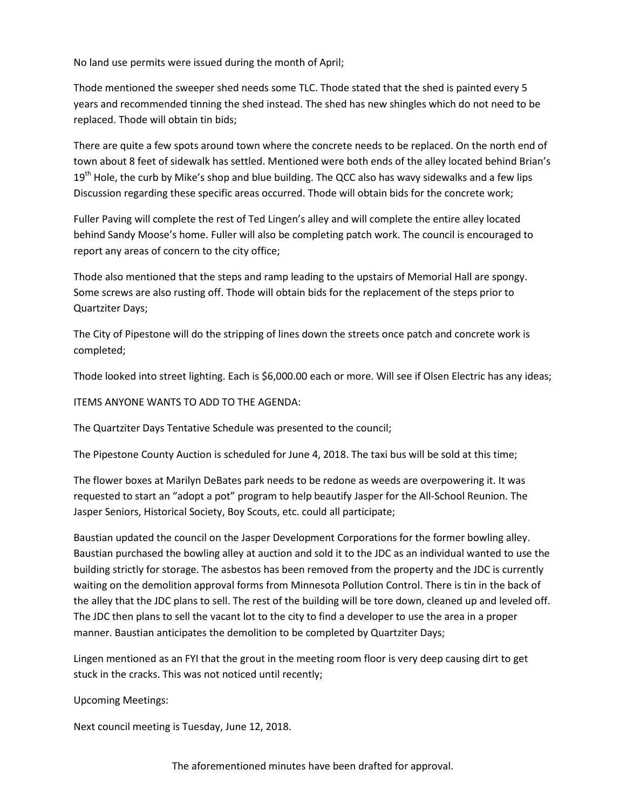No land use permits were issued during the month of April;

Thode mentioned the sweeper shed needs some TLC. Thode stated that the shed is painted every 5 years and recommended tinning the shed instead. The shed has new shingles which do not need to be replaced. Thode will obtain tin bids;

There are quite a few spots around town where the concrete needs to be replaced. On the north end of town about 8 feet of sidewalk has settled. Mentioned were both ends of the alley located behind Brian's 19<sup>th</sup> Hole, the curb by Mike's shop and blue building. The QCC also has wavy sidewalks and a few lips Discussion regarding these specific areas occurred. Thode will obtain bids for the concrete work;

Fuller Paving will complete the rest of Ted Lingen's alley and will complete the entire alley located behind Sandy Moose's home. Fuller will also be completing patch work. The council is encouraged to report any areas of concern to the city office;

Thode also mentioned that the steps and ramp leading to the upstairs of Memorial Hall are spongy. Some screws are also rusting off. Thode will obtain bids for the replacement of the steps prior to Quartziter Days;

The City of Pipestone will do the stripping of lines down the streets once patch and concrete work is completed;

Thode looked into street lighting. Each is \$6,000.00 each or more. Will see if Olsen Electric has any ideas;

ITEMS ANYONE WANTS TO ADD TO THE AGENDA:

The Quartziter Days Tentative Schedule was presented to the council;

The Pipestone County Auction is scheduled for June 4, 2018. The taxi bus will be sold at this time;

The flower boxes at Marilyn DeBates park needs to be redone as weeds are overpowering it. It was requested to start an "adopt a pot" program to help beautify Jasper for the All-School Reunion. The Jasper Seniors, Historical Society, Boy Scouts, etc. could all participate;

Baustian updated the council on the Jasper Development Corporations for the former bowling alley. Baustian purchased the bowling alley at auction and sold it to the JDC as an individual wanted to use the building strictly for storage. The asbestos has been removed from the property and the JDC is currently waiting on the demolition approval forms from Minnesota Pollution Control. There is tin in the back of the alley that the JDC plans to sell. The rest of the building will be tore down, cleaned up and leveled off. The JDC then plans to sell the vacant lot to the city to find a developer to use the area in a proper manner. Baustian anticipates the demolition to be completed by Quartziter Days;

Lingen mentioned as an FYI that the grout in the meeting room floor is very deep causing dirt to get stuck in the cracks. This was not noticed until recently;

Upcoming Meetings:

Next council meeting is Tuesday, June 12, 2018.

The aforementioned minutes have been drafted for approval.